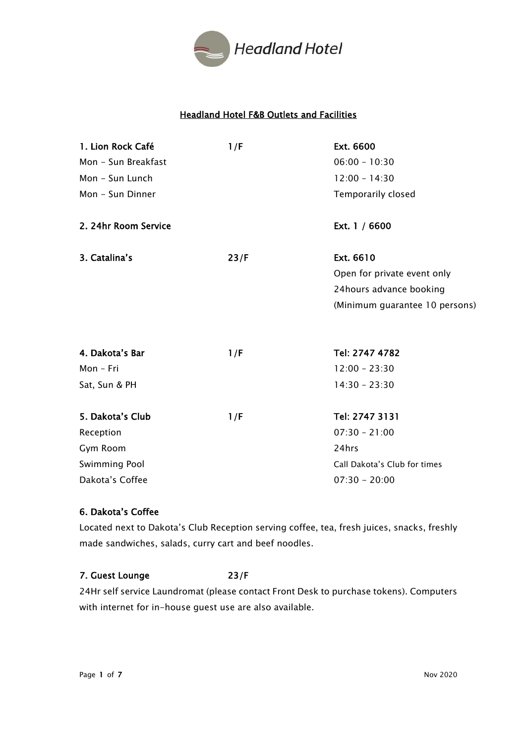

# Headland Hotel F&B Outlets and Facilities

| 1. Lion Rock Café    | 1/F  | Ext. 6600                      |
|----------------------|------|--------------------------------|
| Mon - Sun Breakfast  |      | $06:00 - 10:30$                |
| Mon - Sun Lunch      |      | $12:00 - 14:30$                |
| Mon - Sun Dinner     |      | Temporarily closed             |
| 2. 24hr Room Service |      | Ext. 1 / 6600                  |
| 3. Catalina's        | 23/F | Ext. 6610                      |
|                      |      | Open for private event only    |
|                      |      | 24hours advance booking        |
|                      |      | (Minimum guarantee 10 persons) |
| 4. Dakota's Bar      | 1/F  | Tel: 2747 4782                 |
| Mon - Fri            |      | $12:00 - 23:30$                |
| Sat, Sun & PH        |      | $14:30 - 23:30$                |
| 5. Dakota's Club     | 1/F  | Tel: 2747 3131                 |
| Reception            |      | $07:30 - 21:00$                |
| Gym Room             |      | 24hrs                          |
| Swimming Pool        |      | Call Dakota's Club for times   |
| Dakota's Coffee      |      | $07:30 - 20:00$                |

# 6. Dakota's Coffee

Located next to Dakota's Club Reception serving coffee, tea, fresh juices, snacks, freshly made sandwiches, salads, curry cart and beef noodles.

## 7. Guest Lounge 23/F

24Hr self service Laundromat (please contact Front Desk to purchase tokens). Computers with internet for in-house guest use are also available.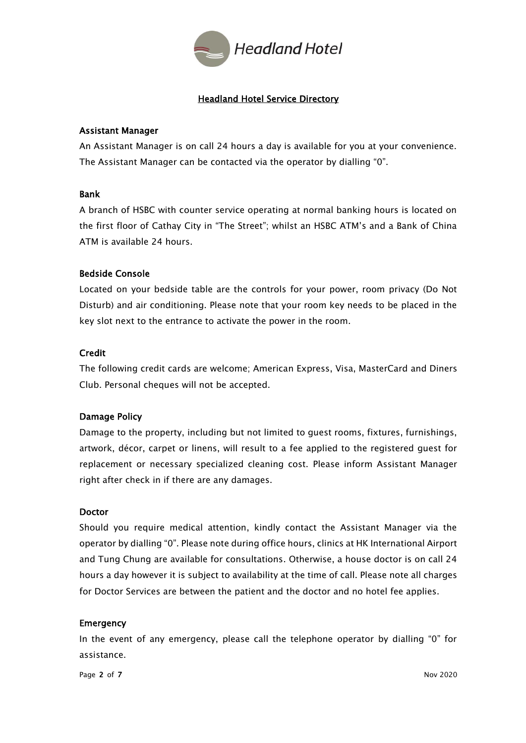

# Headland Hotel Service Directory

## Assistant Manager

An Assistant Manager is on call 24 hours a day is available for you at your convenience. The Assistant Manager can be contacted via the operator by dialling "0".

## Bank

A branch of HSBC with counter service operating at normal banking hours is located on the first floor of Cathay City in "The Street"; whilst an HSBC ATM's and a Bank of China ATM is available 24 hours.

## Bedside Console

Located on your bedside table are the controls for your power, room privacy (Do Not Disturb) and air conditioning. Please note that your room key needs to be placed in the key slot next to the entrance to activate the power in the room.

## Credit

The following credit cards are welcome; American Express, Visa, MasterCard and Diners Club. Personal cheques will not be accepted.

## Damage Policy

Damage to the property, including but not limited to guest rooms, fixtures, furnishings, artwork, décor, carpet or linens, will result to a fee applied to the registered guest for replacement or necessary specialized cleaning cost. Please inform Assistant Manager right after check in if there are any damages.

### Doctor

Should you require medical attention, kindly contact the Assistant Manager via the operator by dialling "0". Please note during office hours, clinics at HK International Airport and Tung Chung are available for consultations. Otherwise, a house doctor is on call 24 hours a day however it is subject to availability at the time of call. Please note all charges for Doctor Services are between the patient and the doctor and no hotel fee applies.

### Emergency

In the event of any emergency, please call the telephone operator by dialling "0" for assistance.

Page 2 of 7  $Nov 2020$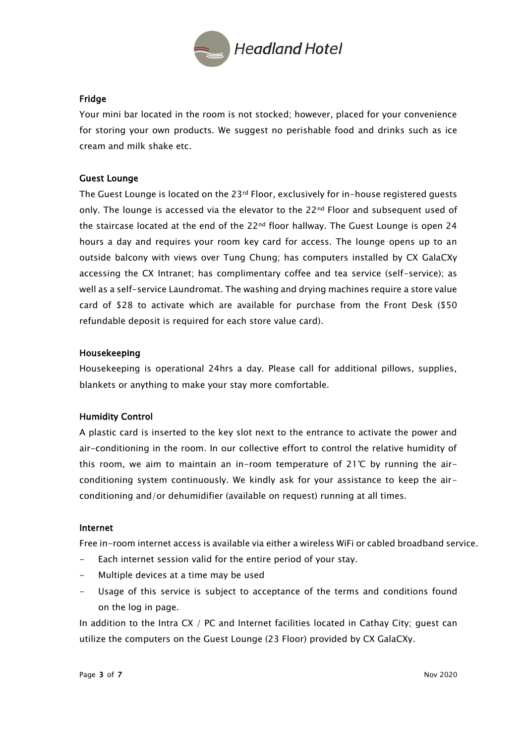

## Fridge

Your mini bar located in the room is not stocked; however, placed for your convenience for storing your own products. We suggest no perishable food and drinks such as ice cream and milk shake etc.

## Guest Lounge

The Guest Lounge is located on the 23<sup>rd</sup> Floor, exclusively for in-house registered guests only. The lounge is accessed via the elevator to the  $22<sup>nd</sup>$  Floor and subsequent used of the staircase located at the end of the 22<sup>nd</sup> floor hallway. The Guest Lounge is open 24 hours a day and requires your room key card for access. The lounge opens up to an outside balcony with views over Tung Chung; has computers installed by CX GalaCXy accessing the CX Intranet; has complimentary coffee and tea service (self-service); as well as a self-service Laundromat. The washing and drying machines require a store value card of \$28 to activate which are available for purchase from the Front Desk (\$50 refundable deposit is required for each store value card).

## Housekeeping

Housekeeping is operational 24hrs a day. Please call for additional pillows, supplies, blankets or anything to make your stay more comfortable.

## Humidity Control

A plastic card is inserted to the key slot next to the entrance to activate the power and air-conditioning in the room. In our collective effort to control the relative humidity of this room, we aim to maintain an in-room temperature of 21℃ by running the airconditioning system continuously. We kindly ask for your assistance to keep the airconditioning and/or dehumidifier (available on request) running at all times.

### Internet

Free in-room internet access is available via either a wireless WiFi or cabled broadband service.

- Each internet session valid for the entire period of your stay.
- Multiple devices at a time may be used
- Usage of this service is subject to acceptance of the terms and conditions found on the log in page.

In addition to the Intra CX / PC and Internet facilities located in Cathay City; guest can utilize the computers on the Guest Lounge (23 Floor) provided by CX GalaCXy.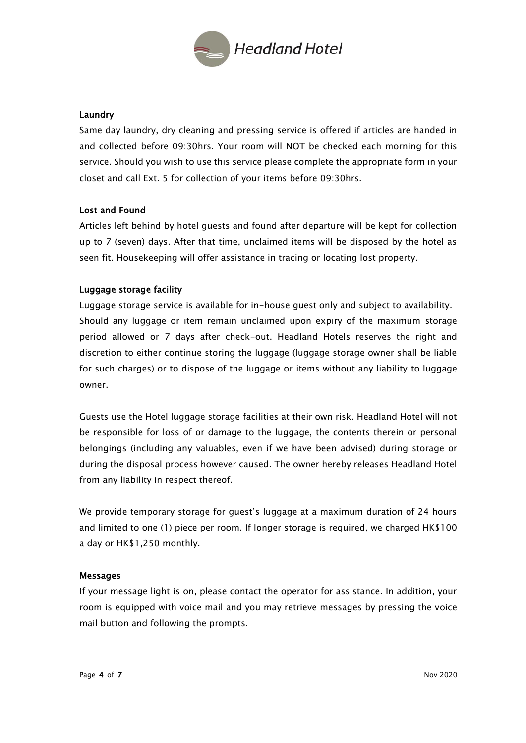

## **Laundry**

Same day laundry, dry cleaning and pressing service is offered if articles are handed in and collected before 09:30hrs. Your room will NOT be checked each morning for this service. Should you wish to use this service please complete the appropriate form in your closet and call Ext. 5 for collection of your items before 09:30hrs.

## Lost and Found

Articles left behind by hotel guests and found after departure will be kept for collection up to 7 (seven) days. After that time, unclaimed items will be disposed by the hotel as seen fit. Housekeeping will offer assistance in tracing or locating lost property.

## Luggage storage facility

Luggage storage service is available for in-house guest only and subject to availability. Should any luggage or item remain unclaimed upon expiry of the maximum storage period allowed or 7 days after check-out. Headland Hotels reserves the right and discretion to either continue storing the luggage (luggage storage owner shall be liable for such charges) or to dispose of the luggage or items without any liability to luggage owner.

Guests use the Hotel luggage storage facilities at their own risk. Headland Hotel will not be responsible for loss of or damage to the luggage, the contents therein or personal belongings (including any valuables, even if we have been advised) during storage or during the disposal process however caused. The owner hereby releases Headland Hotel from any liability in respect thereof.

We provide temporary storage for guest's luggage at a maximum duration of 24 hours and limited to one (1) piece per room. If longer storage is required, we charged HK\$100 a day or HK\$1,250 monthly.

### Messages

If your message light is on, please contact the operator for assistance. In addition, your room is equipped with voice mail and you may retrieve messages by pressing the voice mail button and following the prompts.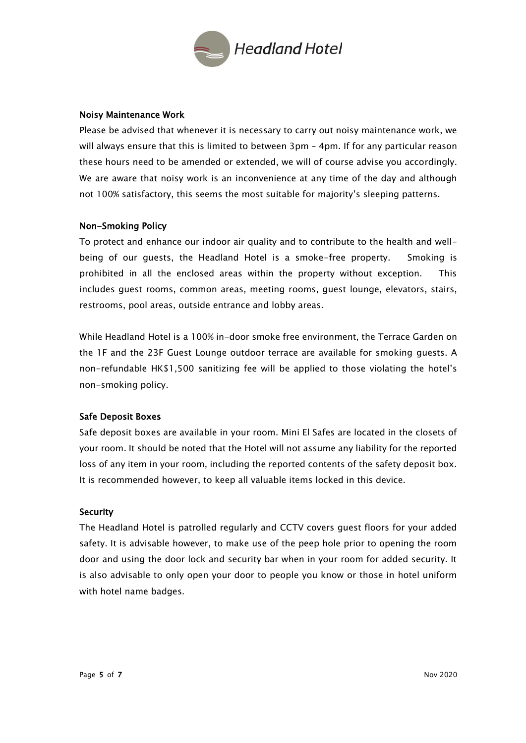

### Noisy Maintenance Work

Please be advised that whenever it is necessary to carry out noisy maintenance work, we will always ensure that this is limited to between 3pm – 4pm. If for any particular reason these hours need to be amended or extended, we will of course advise you accordingly. We are aware that noisy work is an inconvenience at any time of the day and although not 100% satisfactory, this seems the most suitable for majority's sleeping patterns.

## Non-Smoking Policy

To protect and enhance our indoor air quality and to contribute to the health and wellbeing of our guests, the Headland Hotel is a smoke-free property. Smoking is prohibited in all the enclosed areas within the property without exception. This includes guest rooms, common areas, meeting rooms, guest lounge, elevators, stairs, restrooms, pool areas, outside entrance and lobby areas.

While Headland Hotel is a 100% in-door smoke free environment, the Terrace Garden on the 1F and the 23F Guest Lounge outdoor terrace are available for smoking guests. A non-refundable HK\$1,500 sanitizing fee will be applied to those violating the hotel's non-smoking policy.

## Safe Deposit Boxes

Safe deposit boxes are available in your room. Mini El Safes are located in the closets of your room. It should be noted that the Hotel will not assume any liability for the reported loss of any item in your room, including the reported contents of the safety deposit box. It is recommended however, to keep all valuable items locked in this device.

### **Security**

The Headland Hotel is patrolled regularly and CCTV covers guest floors for your added safety. It is advisable however, to make use of the peep hole prior to opening the room door and using the door lock and security bar when in your room for added security. It is also advisable to only open your door to people you know or those in hotel uniform with hotel name badges.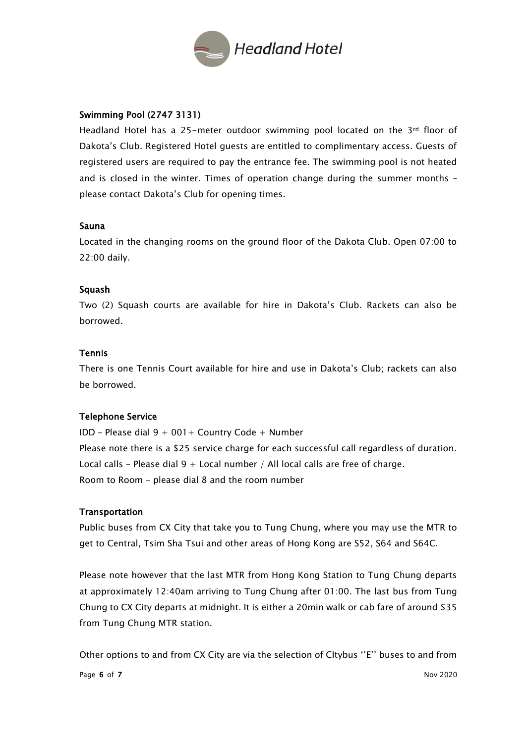

## Swimming Pool (2747 3131)

Headland Hotel has a 25-meter outdoor swimming pool located on the 3rd floor of Dakota's Club. Registered Hotel guests are entitled to complimentary access. Guests of registered users are required to pay the entrance fee. The swimming pool is not heated and is closed in the winter. Times of operation change during the summer months – please contact Dakota's Club for opening times.

### Sauna

Located in the changing rooms on the ground floor of the Dakota Club. Open 07:00 to 22:00 daily.

### Squash

Two (2) Squash courts are available for hire in Dakota's Club. Rackets can also be borrowed.

## Tennis

There is one Tennis Court available for hire and use in Dakota's Club; rackets can also be borrowed.

### Telephone Service

IDD – Please dial  $9 + 001 +$  Country Code + Number Please note there is a \$25 service charge for each successful call regardless of duration. Local calls - Please dial  $9 +$  Local number / All local calls are free of charge. Room to Room – please dial 8 and the room number

### **Transportation**

Public buses from CX City that take you to Tung Chung, where you may use the MTR to get to Central, Tsim Sha Tsui and other areas of Hong Kong are S52, S64 and S64C.

Please note however that the last MTR from Hong Kong Station to Tung Chung departs at approximately 12:40am arriving to Tung Chung after 01:00. The last bus from Tung Chung to CX City departs at midnight. It is either a 20min walk or cab fare of around \$35 from Tung Chung MTR station.

Other options to and from CX City are via the selection of CItybus ''E'' buses to and from